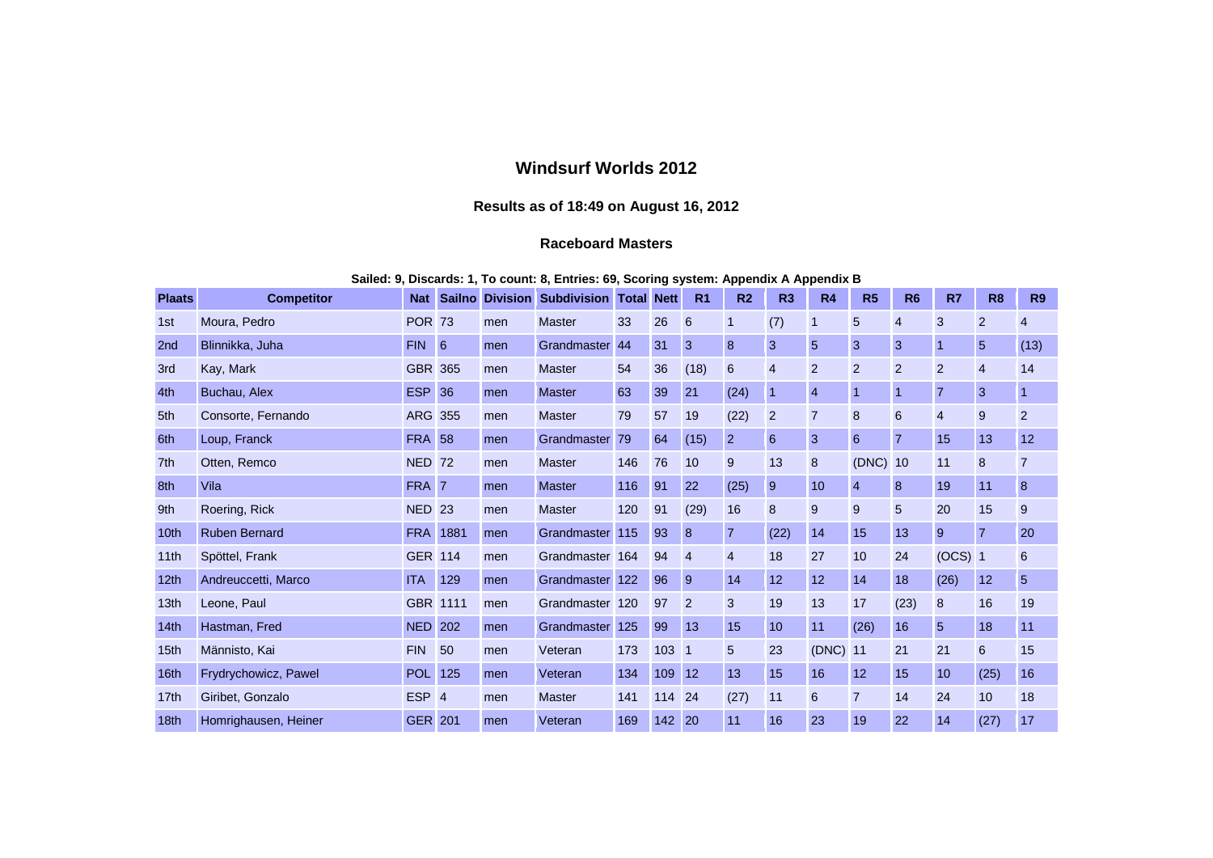## **Windsurf Worlds 2012**

## **Results as of 18:49 on August 16, 2012**

## **Raceboard Masters**

## **Sailed: 9, Discards: 1, To count: 8, Entries: 69, Scoring system: Appendix A Appendix B**

| <b>Plaats</b>    | <b>Competitor</b>    | <b>Nat</b>       |     |     | <b>Sailno Division Subdivision</b> | <b>Total</b> | <b>Nett</b> | R <sub>1</sub> | R <sub>2</sub> | R3             | <b>R4</b>      | R <sub>5</sub> | R <sub>6</sub> | R7             | R <sub>8</sub> | R <sub>9</sub> |
|------------------|----------------------|------------------|-----|-----|------------------------------------|--------------|-------------|----------------|----------------|----------------|----------------|----------------|----------------|----------------|----------------|----------------|
| 1st              | Moura, Pedro         | <b>POR 73</b>    |     | men | <b>Master</b>                      | 33           | 26          | 6              | 1              | (7)            | $\mathbf 1$    | 5              | $\overline{4}$ | 3              | 2              | 4              |
| 2 <sub>nd</sub>  | Blinnikka, Juha      | <b>FIN</b>       | 6   | men | Grandmaster                        | 44           | 31          | 3              | 8              | 3              | 5              | 3              | 3              |                | 5              | (13)           |
| 3rd              | Kay, Mark            | <b>GBR 365</b>   |     | men | <b>Master</b>                      | 54           | 36          | (18)           | 6              | $\overline{4}$ | 2              | 2              | $\overline{2}$ | $\overline{2}$ | $\overline{4}$ | 14             |
| 4th              | Buchau, Alex         | <b>ESP 36</b>    |     | men | <b>Master</b>                      | 63           | 39          | 21             | (24)           | $\mathbf 1$    | $\overline{4}$ | $\mathbf{1}$   | 1              | $\overline{7}$ | 3              |                |
| 5th              | Consorte, Fernando   | <b>ARG 355</b>   |     | men | <b>Master</b>                      | 79           | 57          | 19             | (22)           | $\overline{2}$ | $\overline{7}$ | 8              | 6              | $\overline{4}$ | 9              | $\overline{2}$ |
| 6th              | Loup, Franck         | <b>FRA 58</b>    |     | men | Grandmaster                        | 79           | 64          | (15)           | $\overline{2}$ | 6              | 3              | 6              | $\overline{7}$ | 15             | 13             | 12             |
| 7th              | Otten, Remco         | <b>NED 72</b>    |     | men | <b>Master</b>                      | 146          | 76          | 10             | 9              | 13             | 8              | (DNC)          | 10             | 11             | 8              | $\overline{7}$ |
| 8th              | Vila                 | FRA 7            |     | men | <b>Master</b>                      | 116          | 91          | 22             | (25)           | 9              | 10             | 4              | 8              | 19             | 11             | 8              |
| 9th              | Roering, Rick        | <b>NED 23</b>    |     | men | <b>Master</b>                      | 120          | 91          | (29)           | 16             | 8              | 9              | 9              | 5              | 20             | 15             | 9              |
| 10 <sub>th</sub> | <b>Ruben Bernard</b> | <b>FRA 1881</b>  |     | men | <b>Grandmaster</b>                 | 115          | 93          | 8              | $\overline{7}$ | (22)           | 14             | 15             | 13             | 9              | 7              | 20             |
| 11th             | Spöttel, Frank       | <b>GER 114</b>   |     | men | Grandmaster                        | 164          | 94          | $\overline{4}$ | $\overline{4}$ | 18             | 27             | 10             | 24             | $(OCS)$ 1      |                | 6              |
| 12 <sub>th</sub> | Andreuccetti, Marco  | <b>ITA</b>       | 129 | men | Grandmaster                        | 122          | 96          | 9              | 14             | 12             | 12             | 14             | 18             | (26)           | 12             | 5              |
| 13 <sub>th</sub> | Leone, Paul          | GBR 1111         |     | men | Grandmaster 120                    |              | 97          | $\overline{2}$ | 3              | 19             | 13             | 17             | (23)           | 8              | 16             | 19             |
| 14th             | Hastman, Fred        | <b>NED 202</b>   |     | men | <b>Grandmaster</b>                 | 125          | 99          | 13             | 15             | 10             | 11             | (26)           | 16             | 5              | 18             | 11             |
| 15th             | Männisto, Kai        | <b>FIN</b>       | 50  | men | Veteran                            | 173          | 103         | $\vert$ 1      | 5              | 23             | (DNC) 11       |                | 21             | 21             | 6              | 15             |
| 16th             | Frydrychowicz, Pawel | <b>POL</b>       | 125 | men | Veteran                            | 134          | 109         | 12             | 13             | 15             | 16             | 12             | 15             | 10             | (25)           | 16             |
| 17 <sub>th</sub> | Giribet, Gonzalo     | ESP <sub>4</sub> |     | men | <b>Master</b>                      | 141          | 114 24      |                | (27)           | 11             | 6              | $\overline{7}$ | 14             | 24             | 10             | 18             |
| 18 <sub>th</sub> | Homrighausen, Heiner | <b>GER 201</b>   |     | men | Veteran                            | 169          | 142         | 20             | 11             | 16             | 23             | 19             | 22             | 14             | (27)           | 17             |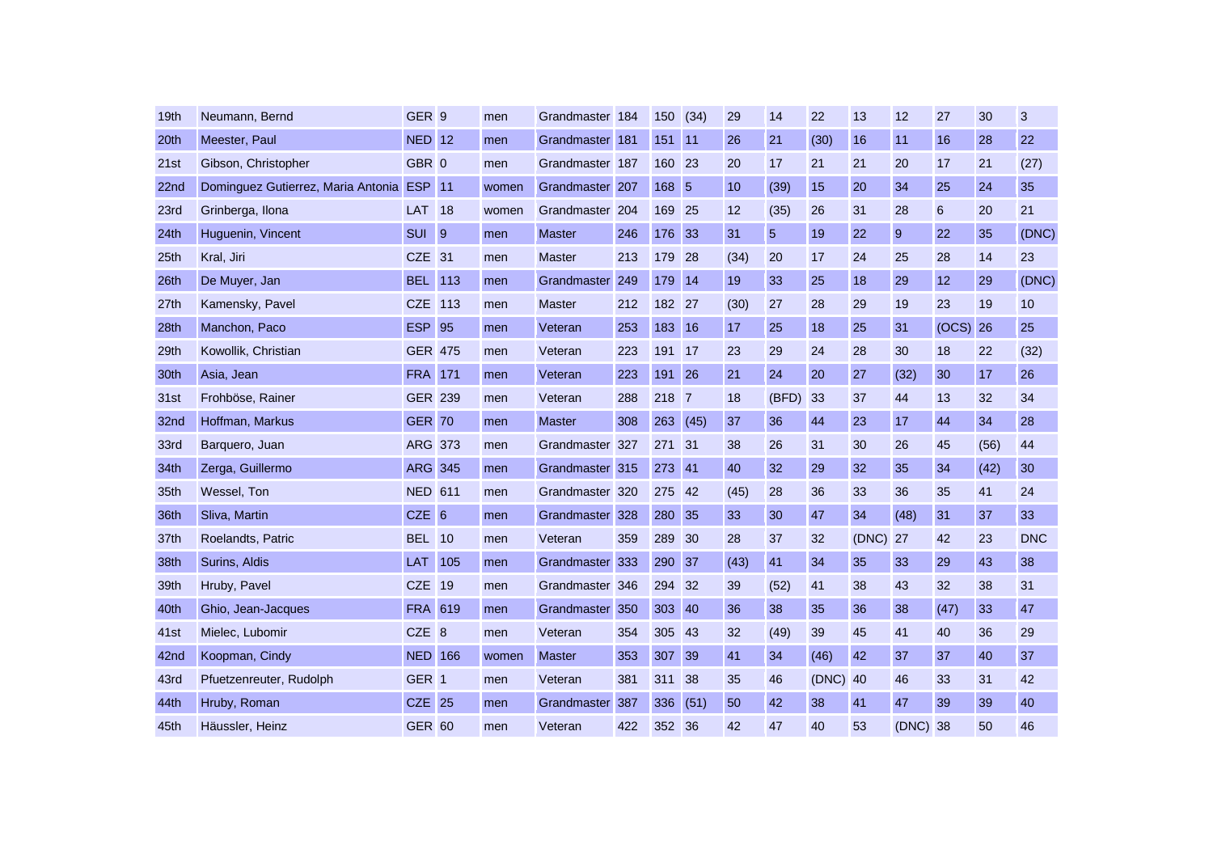| 19 <sub>th</sub> | Neumann, Bernd                            | GER <sub>9</sub>  |                | men   | Grandmaster 184 |     | 150    | (34)            | 29   | 14             | 22    | 13    | 12       | 27    | 30   | 3          |
|------------------|-------------------------------------------|-------------------|----------------|-------|-----------------|-----|--------|-----------------|------|----------------|-------|-------|----------|-------|------|------------|
| 20th             | Meester, Paul                             | <b>NED 12</b>     |                | men   | Grandmaster     | 181 | 151    | 11              | 26   | 21             | (30)  | 16    | 11       | 16    | 28   | 22         |
| 21st             | Gibson, Christopher                       | GBR 0             |                | men   | Grandmaster 187 |     | 160    | 23              | 20   | 17             | 21    | 21    | 20       | 17    | 21   | (27)       |
| 22nd             | Dominguez Gutierrez, Maria Antonia ESP 11 |                   |                | women | Grandmaster     | 207 | 168    | $5\overline{5}$ | 10   | (39)           | 15    | 20    | 34       | 25    | 24   | 35         |
| 23rd             | Grinberga, Ilona                          | <b>LAT</b> 18     |                | women | Grandmaster     | 204 | 169    | 25              | 12   | (35)           | 26    | 31    | 28       | 6     | 20   | 21         |
| 24th             | Huguenin, Vincent                         | <b>SUI</b>        | $\overline{9}$ | men   | <b>Master</b>   | 246 | 176    | 33              | 31   | 5 <sup>5</sup> | 19    | 22    | 9        | 22    | 35   | (DNC)      |
| 25th             | Kral, Jiri                                | CZE <sub>31</sub> |                | men   | <b>Master</b>   | 213 | 179    | 28              | (34) | 20             | 17    | 24    | 25       | 28    | 14   | 23         |
| 26th             | De Muyer, Jan                             | <b>BEL 113</b>    |                | men   | Grandmaster     | 249 | 179    | <b>14</b>       | 19   | 33             | 25    | 18    | 29       | 12    | 29   | (DNC)      |
| 27th             | Kamensky, Pavel                           | CZE 113           |                | men   | <b>Master</b>   | 212 | 182 27 |                 | (30) | 27             | 28    | 29    | 19       | 23    | 19   | 10         |
| 28th             | Manchon, Paco                             | <b>ESP 95</b>     |                | men   | Veteran         | 253 | 183    | <b>16</b>       | 17   | 25             | 18    | 25    | 31       | (OCS) | 26   | 25         |
| 29th             | Kowollik, Christian                       | <b>GER 475</b>    |                | men   | Veteran         | 223 | 191    | <b>17</b>       | 23   | 29             | 24    | 28    | 30       | 18    | 22   | (32)       |
| 30th             | Asia, Jean                                | <b>FRA</b> 171    |                | men   | Veteran         | 223 | 191    | 26              | 21   | 24             | 20    | 27    | (32)     | 30    | 17   | 26         |
| 31st             | Frohböse, Rainer                          | <b>GER 239</b>    |                | men   | Veteran         | 288 | 218    | $\overline{7}$  | 18   | (BFD)          | 33    | 37    | 44       | 13    | 32   | 34         |
| 32nd             | Hoffman, Markus                           | <b>GER 70</b>     |                | men   | <b>Master</b>   | 308 | 263    | (45)            | 37   | 36             | 44    | 23    | 17       | 44    | 34   | 28         |
| 33rd             | Barquero, Juan                            | <b>ARG 373</b>    |                | men   | Grandmaster     | 327 | 271    | 31              | 38   | 26             | 31    | 30    | 26       | 45    | (56) | 44         |
| 34th             | Zerga, Guillermo                          | <b>ARG 345</b>    |                | men   | Grandmaster     | 315 | 273    | 41              | 40   | 32             | 29    | 32    | 35       | 34    | (42) | 30         |
| 35th             | Wessel, Ton                               | <b>NED 611</b>    |                | men   | Grandmaster 320 |     | 275    | 42              | (45) | 28             | 36    | 33    | 36       | 35    | 41   | 24         |
| 36th             | Sliva, Martin                             | CZE 6             |                | men   | Grandmaster     | 328 | 280    | 35              | 33   | 30             | 47    | 34    | (48)     | 31    | 37   | 33         |
| 37th             | Roelandts, Patric                         | <b>BEL 10</b>     |                | men   | Veteran         | 359 | 289    | 30              | 28   | 37             | 32    | (DNC) | 27       | 42    | 23   | <b>DNC</b> |
| 38th             | Surins, Aldis                             | LAT 105           |                | men   | Grandmaster     | 333 | 290    | 37              | (43) | 41             | 34    | 35    | 33       | 29    | 43   | 38         |
| 39th             | Hruby, Pavel                              | CZE 19            |                | men   | Grandmaster     | 346 | 294    | 32              | 39   | (52)           | 41    | 38    | 43       | 32    | 38   | 31         |
| 40th             | Ghio, Jean-Jacques                        | <b>FRA 619</b>    |                | men   | Grandmaster     | 350 | 303    | 40              | 36   | 38             | 35    | 36    | 38       | (47)  | 33   | 47         |
| 41st             | Mielec, Lubomir                           | CZE <sub>8</sub>  |                | men   | Veteran         | 354 | 305    | 43              | 32   | (49)           | 39    | 45    | 41       | 40    | 36   | 29         |
| 42nd             | Koopman, Cindy                            | <b>NED 166</b>    |                | women | <b>Master</b>   | 353 | 307    | 39              | 41   | 34             | (46)  | 42    | 37       | 37    | 40   | 37         |
| 43rd             | Pfuetzenreuter, Rudolph                   | GER <sub>1</sub>  |                | men   | Veteran         | 381 | 311    | 38              | 35   | 46             | (DNC) | 40    | 46       | 33    | 31   | 42         |
| 44th             | Hruby, Roman                              | <b>CZE 25</b>     |                | men   | Grandmaster     | 387 | 336    | (51)            | 50   | 42             | 38    | 41    | 47       | 39    | 39   | 40         |
| 45th             | Häussler, Heinz                           | <b>GER 60</b>     |                | men   | Veteran         | 422 | 352    | 36              | 42   | 47             | 40    | 53    | (DNC) 38 |       | 50   | 46         |